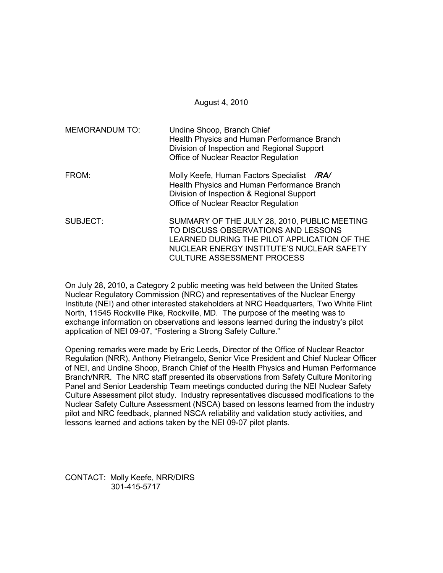August 4, 2010

| <b>MEMORANDUM TO:</b> | Undine Shoop, Branch Chief<br>Health Physics and Human Performance Branch<br>Division of Inspection and Regional Support<br>Office of Nuclear Reactor Regulation                                                     |  |
|-----------------------|----------------------------------------------------------------------------------------------------------------------------------------------------------------------------------------------------------------------|--|
| FROM:                 | Molly Keefe, Human Factors Specialist /RA/<br>Health Physics and Human Performance Branch<br>Division of Inspection & Regional Support<br>Office of Nuclear Reactor Regulation                                       |  |
| SUBJECT:              | SUMMARY OF THE JULY 28, 2010, PUBLIC MEETING<br>TO DISCUSS OBSERVATIONS AND LESSONS<br>LEARNED DURING THE PILOT APPLICATION OF THE<br>NUCLEAR ENERGY INSTITUTE'S NUCLEAR SAFETY<br><b>CULTURE ASSESSMENT PROCESS</b> |  |

On July 28, 2010, a Category 2 public meeting was held between the United States Nuclear Regulatory Commission (NRC) and representatives of the Nuclear Energy Institute (NEI) and other interested stakeholders at NRC Headquarters, Two White Flint North, 11545 Rockville Pike, Rockville, MD. The purpose of the meeting was to exchange information on observations and lessons learned during the industry's pilot application of NEI 09-07, "Fostering a Strong Safety Culture."

Opening remarks were made by Eric Leeds, Director of the Office of Nuclear Reactor Regulation (NRR), Anthony Pietrangelo**,** Senior Vice President and Chief Nuclear Officer of NEI, and Undine Shoop, Branch Chief of the Health Physics and Human Performance Branch/NRR. The NRC staff presented its observations from Safety Culture Monitoring Panel and Senior Leadership Team meetings conducted during the NEI Nuclear Safety Culture Assessment pilot study. Industry representatives discussed modifications to the Nuclear Safety Culture Assessment (NSCA) based on lessons learned from the industry pilot and NRC feedback, planned NSCA reliability and validation study activities, and lessons learned and actions taken by the NEI 09-07 pilot plants.

CONTACT: Molly Keefe, NRR/DIRS 301-415-5717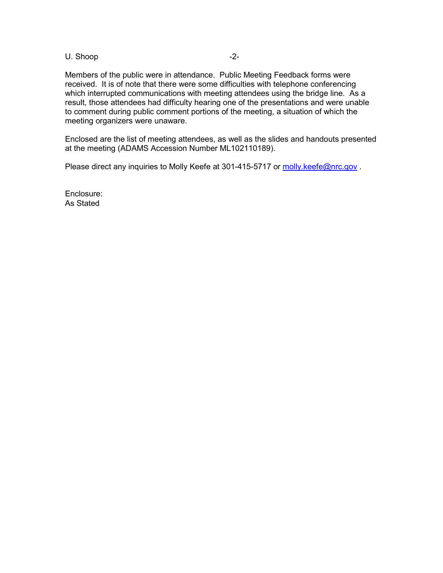## U. Shoop -2-

Members of the public were in attendance. Public Meeting Feedback forms were received. It is of note that there were some difficulties with telephone conferencing which interrupted communications with meeting attendees using the bridge line. As a result, those attendees had difficulty hearing one of the presentations and were unable to comment during public comment portions of the meeting, a situation of which the meeting organizers were unaware.

Enclosed are the list of meeting attendees, as well as the slides and handouts presented at the meeting (ADAMS Accession Number ML102110189).

Please direct any inquiries to Molly Keefe at 301-415-5717 or molly.keefe@nrc.gov.

Enclosure: As Stated